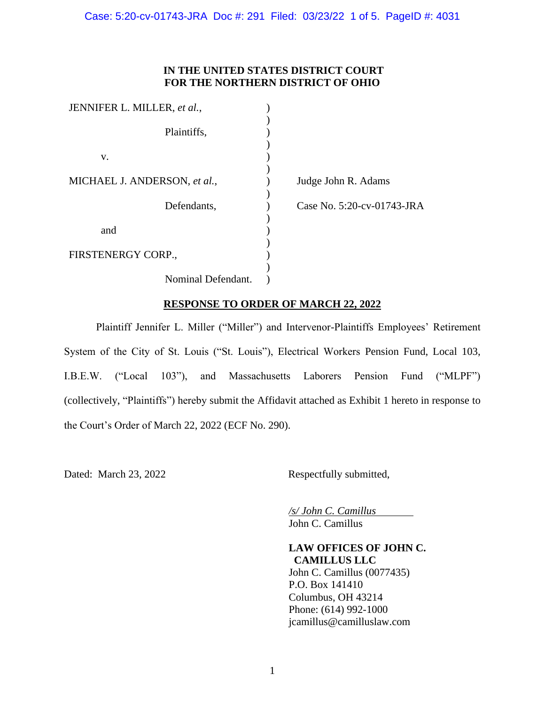Case: 5:20-cv-01743-JRA Doc #: 291 Filed: 03/23/22 1 of 5. PageID #: 4031

# **IN THE UNITED STATES DISTRICT COURT FOR THE NORTHERN DISTRICT OF OHIO**

| JENNIFER L. MILLER, et al.,  |                            |
|------------------------------|----------------------------|
|                              |                            |
| Plaintiffs,                  |                            |
|                              |                            |
| V.                           |                            |
|                              |                            |
| MICHAEL J. ANDERSON, et al., | Judge John R. Adams        |
|                              |                            |
| Defendants,                  | Case No. 5:20-cv-01743-JRA |
|                              |                            |
| and                          |                            |
|                              |                            |
| FIRSTENERGY CORP.,           |                            |
|                              |                            |
| Nominal Defendant.           |                            |

# **RESPONSE TO ORDER OF MARCH 22, 2022**

Plaintiff Jennifer L. Miller ("Miller") and Intervenor-Plaintiffs Employees' Retirement System of the City of St. Louis ("St. Louis"), Electrical Workers Pension Fund, Local 103, I.B.E.W. ("Local 103"), and Massachusetts Laborers Pension Fund ("MLPF") (collectively, "Plaintiffs") hereby submit the Affidavit attached as Exhibit 1 hereto in response to the Court's Order of March 22, 2022 (ECF No. 290).

Dated: March 23, 2022 Respectfully submitted,

*/s/ John C. Camillus* John C. Camillus

**LAW OFFICES OF JOHN C. CAMILLUS LLC** John C. Camillus (0077435) P.O. Box 141410 Columbus, OH 43214 Phone: (614) 992-1000 jcamillus@camilluslaw.com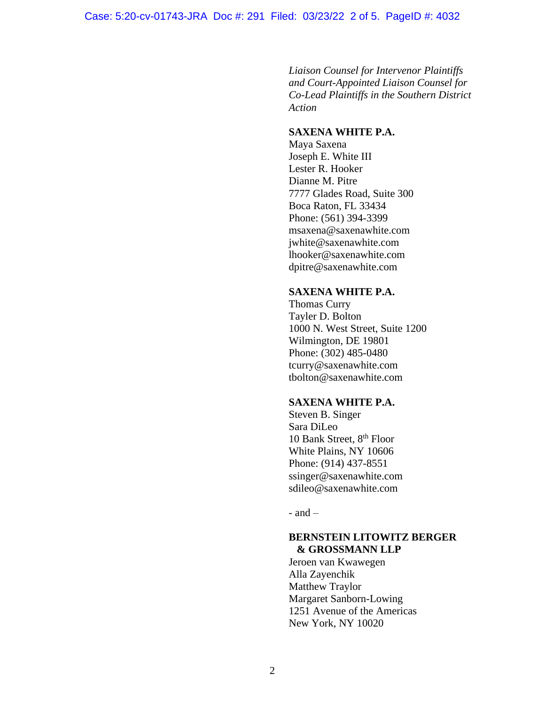*Liaison Counsel for Intervenor Plaintiffs and Court-Appointed Liaison Counsel for Co-Lead Plaintiffs in the Southern District Action*

## **SAXENA WHITE P.A.**

Maya Saxena Joseph E. White III Lester R. Hooker Dianne M. Pitre 7777 Glades Road, Suite 300 Boca Raton, FL 33434 Phone: (561) 394-3399 [msaxena@saxenawhite.com](mailto:msaxena@saxenawhite.com) jwhite@saxenawhite.com lhooker@saxenawhite.com dpitre@saxenawhite.com

#### **SAXENA WHITE P.A.**

Thomas Curry Tayler D. Bolton 1000 N. West Street, Suite 1200 Wilmington, DE 19801 Phone: (302) 485-0480 tcurry@saxenawhite.com tbolton@saxenawhite.com

## **SAXENA WHITE P.A.**

Steven B. Singer Sara DiLeo 10 Bank Street, 8<sup>th</sup> Floor White Plains, NY 10606 Phone: (914) 437-8551 ssinger@saxenawhite.com sdileo@saxenawhite.com

 $-$  and  $-$ 

## **BERNSTEIN LITOWITZ BERGER & GROSSMANN LLP**

Jeroen van Kwawegen Alla Zayenchik Matthew Traylor Margaret Sanborn-Lowing 1251 Avenue of the Americas New York, NY 10020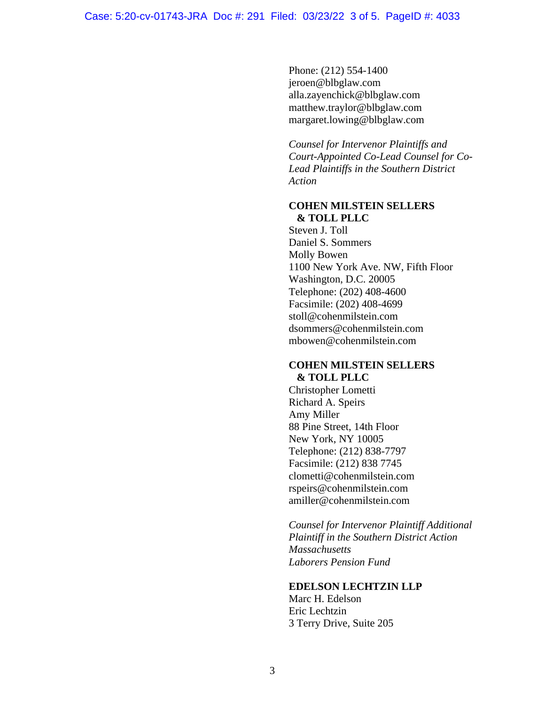Phone: (212) 554-1400 jeroen@blbglaw.com alla.zayenchick@blbglaw.com matthew.traylor@blbglaw.com margaret.lowing@blbglaw.com

*Counsel for Intervenor Plaintiffs and Court-Appointed Co-Lead Counsel for Co-Lead Plaintiffs in the Southern District Action*

## **COHEN MILSTEIN SELLERS & TOLL PLLC**

Steven J. Toll Daniel S. Sommers Molly Bowen 1100 New York Ave. NW, Fifth Floor Washington, D.C. 20005 Telephone: (202) 408-4600 Facsimile: (202) 408-4699 stoll@cohenmilstein.com dsommers@cohenmilstein.com mbowen@cohenmilstein.com

## **COHEN MILSTEIN SELLERS & TOLL PLLC**

Christopher Lometti Richard A. Speirs Amy Miller 88 Pine Street, 14th Floor New York, NY 10005 Telephone: (212) 838-7797 Facsimile: (212) 838 7745 clometti@cohenmilstein.com rspeirs@cohenmilstein.com amiller@cohenmilstein.com

*Counsel for Intervenor Plaintiff Additional Plaintiff in the Southern District Action Massachusetts Laborers Pension Fund*

#### **EDELSON LECHTZIN LLP**

Marc H. Edelson Eric Lechtzin 3 Terry Drive, Suite 205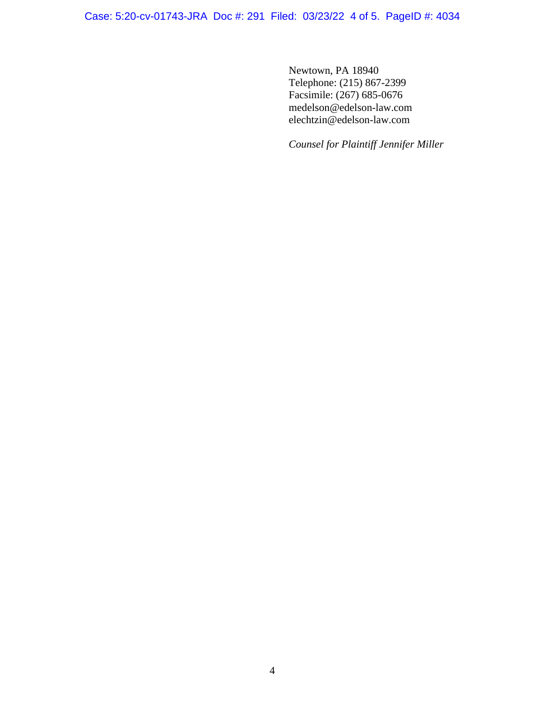Case: 5:20-cv-01743-JRA Doc #: 291 Filed: 03/23/22 4 of 5. PageID #: 4034

Newtown, PA 18940 Telephone: (215) 867-2399 Facsimile: (267) 685-0676 medelson@edelson-law.com elechtzin@edelson-law.com

*Counsel for Plaintiff Jennifer Miller*